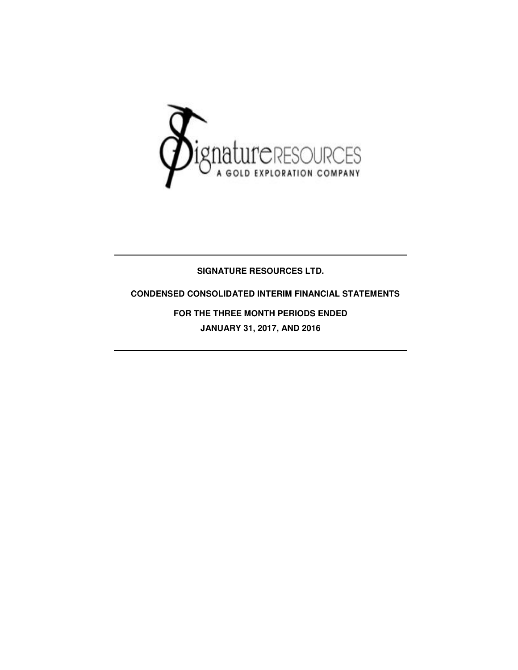

## **SIGNATURE RESOURCES LTD.**

### **CONDENSED CONSOLIDATED INTERIM FINANCIAL STATEMENTS**

**FOR THE THREE MONTH PERIODS ENDED JANUARY 31, 2017, AND 2016**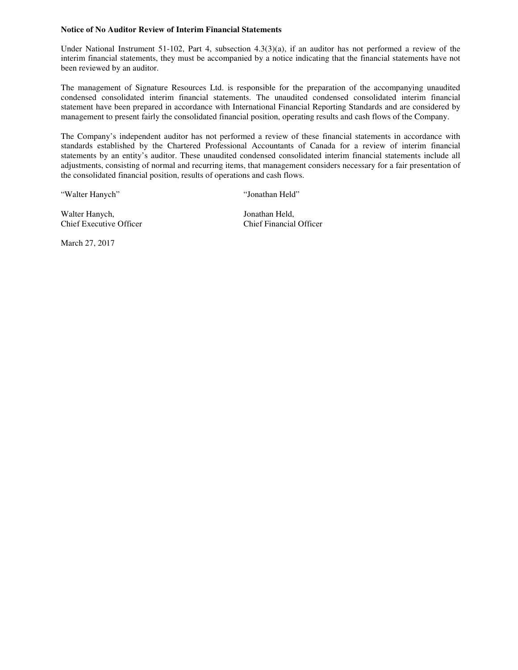#### **Notice of No Auditor Review of Interim Financial Statements**

Under National Instrument 51-102, Part 4, subsection 4.3(3)(a), if an auditor has not performed a review of the interim financial statements, they must be accompanied by a notice indicating that the financial statements have not been reviewed by an auditor.

The management of Signature Resources Ltd. is responsible for the preparation of the accompanying unaudited condensed consolidated interim financial statements. The unaudited condensed consolidated interim financial statement have been prepared in accordance with International Financial Reporting Standards and are considered by management to present fairly the consolidated financial position, operating results and cash flows of the Company.

The Company's independent auditor has not performed a review of these financial statements in accordance with standards established by the Chartered Professional Accountants of Canada for a review of interim financial statements by an entity's auditor. These unaudited condensed consolidated interim financial statements include all adjustments, consisting of normal and recurring items, that management considers necessary for a fair presentation of the consolidated financial position, results of operations and cash flows.

"Walter Hanych" "Jonathan Held"

Walter Hanych, Jonathan Held, Chief Executive Officer Chief Financial Officer

March 27, 2017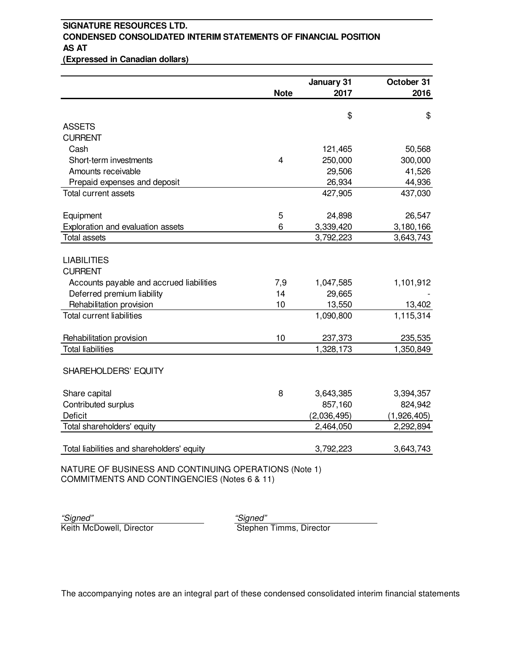## **SIGNATURE RESOURCES LTD. CONDENSED CONSOLIDATED INTERIM STATEMENTS OF FINANCIAL POSITION AS AT**

**(Expressed in Canadian dollars)**

| <b>Note</b><br>2017<br>2016<br>\$<br>\$<br><b>ASSETS</b><br><b>CURRENT</b><br>Cash<br>50,568<br>121,465<br>300,000<br>Short-term investments<br>4<br>250,000<br>Amounts receivable<br>29,506<br>41,526<br>44,936<br>Prepaid expenses and deposit<br>26,934<br>427,905<br>437,030<br><b>Total current assets</b><br>5<br>Equipment<br>24,898<br>26,547<br>Exploration and evaluation assets<br>6<br>3,339,420<br>3,180,166<br><b>Total assets</b><br>3,792,223<br>3,643,743<br><b>LIABILITIES</b><br><b>CURRENT</b><br>Accounts payable and accrued liabilities<br>7,9<br>1,047,585<br>1,101,912<br>Deferred premium liability<br>14<br>29,665<br>Rehabilitation provision<br>10<br>13,550<br>13,402<br>1,115,314<br><b>Total current liabilities</b><br>1,090,800<br>Rehabilitation provision<br>10<br>237,373<br>235,535<br><b>Total liabilities</b><br>1,328,173<br>1,350,849<br>SHAREHOLDERS' EQUITY<br>Share capital<br>8<br>3,643,385<br>3,394,357 |                     | January 31 | October 31 |
|---------------------------------------------------------------------------------------------------------------------------------------------------------------------------------------------------------------------------------------------------------------------------------------------------------------------------------------------------------------------------------------------------------------------------------------------------------------------------------------------------------------------------------------------------------------------------------------------------------------------------------------------------------------------------------------------------------------------------------------------------------------------------------------------------------------------------------------------------------------------------------------------------------------------------------------------------------|---------------------|------------|------------|
|                                                                                                                                                                                                                                                                                                                                                                                                                                                                                                                                                                                                                                                                                                                                                                                                                                                                                                                                                         |                     |            |            |
|                                                                                                                                                                                                                                                                                                                                                                                                                                                                                                                                                                                                                                                                                                                                                                                                                                                                                                                                                         |                     |            |            |
|                                                                                                                                                                                                                                                                                                                                                                                                                                                                                                                                                                                                                                                                                                                                                                                                                                                                                                                                                         |                     |            |            |
|                                                                                                                                                                                                                                                                                                                                                                                                                                                                                                                                                                                                                                                                                                                                                                                                                                                                                                                                                         |                     |            |            |
|                                                                                                                                                                                                                                                                                                                                                                                                                                                                                                                                                                                                                                                                                                                                                                                                                                                                                                                                                         |                     |            |            |
|                                                                                                                                                                                                                                                                                                                                                                                                                                                                                                                                                                                                                                                                                                                                                                                                                                                                                                                                                         |                     |            |            |
|                                                                                                                                                                                                                                                                                                                                                                                                                                                                                                                                                                                                                                                                                                                                                                                                                                                                                                                                                         |                     |            |            |
|                                                                                                                                                                                                                                                                                                                                                                                                                                                                                                                                                                                                                                                                                                                                                                                                                                                                                                                                                         |                     |            |            |
|                                                                                                                                                                                                                                                                                                                                                                                                                                                                                                                                                                                                                                                                                                                                                                                                                                                                                                                                                         |                     |            |            |
|                                                                                                                                                                                                                                                                                                                                                                                                                                                                                                                                                                                                                                                                                                                                                                                                                                                                                                                                                         |                     |            |            |
|                                                                                                                                                                                                                                                                                                                                                                                                                                                                                                                                                                                                                                                                                                                                                                                                                                                                                                                                                         |                     |            |            |
|                                                                                                                                                                                                                                                                                                                                                                                                                                                                                                                                                                                                                                                                                                                                                                                                                                                                                                                                                         |                     |            |            |
|                                                                                                                                                                                                                                                                                                                                                                                                                                                                                                                                                                                                                                                                                                                                                                                                                                                                                                                                                         |                     |            |            |
|                                                                                                                                                                                                                                                                                                                                                                                                                                                                                                                                                                                                                                                                                                                                                                                                                                                                                                                                                         |                     |            |            |
|                                                                                                                                                                                                                                                                                                                                                                                                                                                                                                                                                                                                                                                                                                                                                                                                                                                                                                                                                         |                     |            |            |
|                                                                                                                                                                                                                                                                                                                                                                                                                                                                                                                                                                                                                                                                                                                                                                                                                                                                                                                                                         |                     |            |            |
|                                                                                                                                                                                                                                                                                                                                                                                                                                                                                                                                                                                                                                                                                                                                                                                                                                                                                                                                                         |                     |            |            |
|                                                                                                                                                                                                                                                                                                                                                                                                                                                                                                                                                                                                                                                                                                                                                                                                                                                                                                                                                         |                     |            |            |
|                                                                                                                                                                                                                                                                                                                                                                                                                                                                                                                                                                                                                                                                                                                                                                                                                                                                                                                                                         |                     |            |            |
|                                                                                                                                                                                                                                                                                                                                                                                                                                                                                                                                                                                                                                                                                                                                                                                                                                                                                                                                                         |                     |            |            |
|                                                                                                                                                                                                                                                                                                                                                                                                                                                                                                                                                                                                                                                                                                                                                                                                                                                                                                                                                         |                     |            |            |
|                                                                                                                                                                                                                                                                                                                                                                                                                                                                                                                                                                                                                                                                                                                                                                                                                                                                                                                                                         |                     |            |            |
|                                                                                                                                                                                                                                                                                                                                                                                                                                                                                                                                                                                                                                                                                                                                                                                                                                                                                                                                                         |                     |            |            |
|                                                                                                                                                                                                                                                                                                                                                                                                                                                                                                                                                                                                                                                                                                                                                                                                                                                                                                                                                         |                     |            |            |
|                                                                                                                                                                                                                                                                                                                                                                                                                                                                                                                                                                                                                                                                                                                                                                                                                                                                                                                                                         |                     |            |            |
|                                                                                                                                                                                                                                                                                                                                                                                                                                                                                                                                                                                                                                                                                                                                                                                                                                                                                                                                                         |                     |            |            |
|                                                                                                                                                                                                                                                                                                                                                                                                                                                                                                                                                                                                                                                                                                                                                                                                                                                                                                                                                         |                     |            |            |
|                                                                                                                                                                                                                                                                                                                                                                                                                                                                                                                                                                                                                                                                                                                                                                                                                                                                                                                                                         | Contributed surplus | 857,160    | 824,942    |
| <b>Deficit</b><br>(2,036,495)<br>(1,926,405)                                                                                                                                                                                                                                                                                                                                                                                                                                                                                                                                                                                                                                                                                                                                                                                                                                                                                                            |                     |            |            |
| Total shareholders' equity<br>2,464,050<br>2,292,894                                                                                                                                                                                                                                                                                                                                                                                                                                                                                                                                                                                                                                                                                                                                                                                                                                                                                                    |                     |            |            |
|                                                                                                                                                                                                                                                                                                                                                                                                                                                                                                                                                                                                                                                                                                                                                                                                                                                                                                                                                         |                     |            |            |
| Total liabilities and shareholders' equity<br>3,792,223<br>3,643,743                                                                                                                                                                                                                                                                                                                                                                                                                                                                                                                                                                                                                                                                                                                                                                                                                                                                                    |                     |            |            |

NATURE OF BUSINESS AND CONTINUING OPERATIONS (Note 1) COMMITMENTS AND CONTINGENCIES (Notes 6 & 11)

"Signed" "Signed"

**Stephen Timms, Director**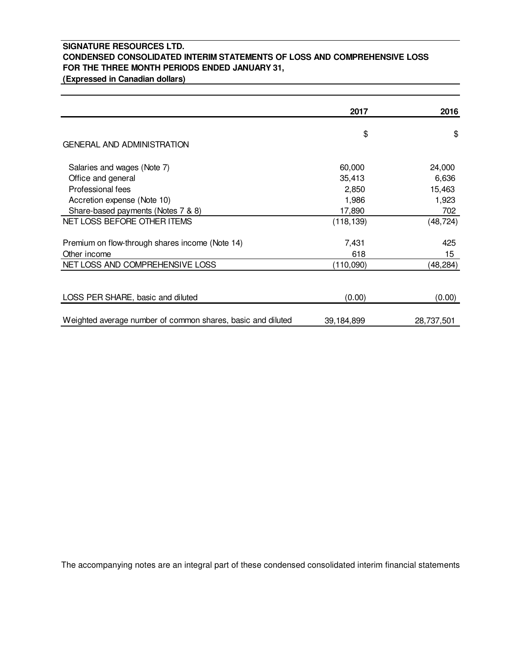## **SIGNATURE RESOURCES LTD. CONDENSED CONSOLIDATED INTERIM STATEMENTS OF LOSS AND COMPREHENSIVE LOSS FOR THE THREE MONTH PERIODS ENDED JANUARY 31,**

**(Expressed in Canadian dollars)**

|                                                                 | 2017         | 2016       |
|-----------------------------------------------------------------|--------------|------------|
| GENERAL AND ADMINISTRATION                                      | \$           | \$         |
| Salaries and wages (Note 7)                                     | 60,000       | 24,000     |
| Office and general                                              | 35,413       | 6,636      |
| Professional fees                                               | 2,850        | 15,463     |
| Accretion expense (Note 10)                                     | 1,986        | 1,923      |
| Share-based payments (Notes 7 & 8)                              | 17,890       | 702        |
| NET LOSS BEFORE OTHER ITEMS                                     | (118, 139)   | (48, 724)  |
| Premium on flow-through shares income (Note 14)<br>Other income | 7,431<br>618 | 425<br>15  |
| NET LOSS AND COMPREHENSIVE LOSS                                 | (110,090)    | (48,284)   |
| LOSS PER SHARE, basic and diluted                               | (0.00)       | (0.00)     |
| Weighted average number of common shares, basic and diluted     | 39,184,899   | 28,737,501 |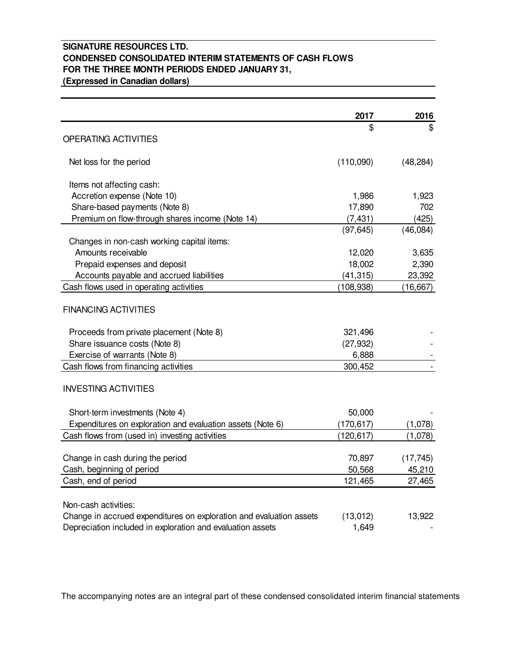### **SIGNATURE RESOURCES LTD. CONDENSED CONSOLIDATED INTERIM STATEMENTS OF CASH FLOWS FOR THE THREE MONTH PERIODS ENDED JANUARY 31, (Expressed in Canadian dollars)**

|                                                                     | 2017       | 2016      |
|---------------------------------------------------------------------|------------|-----------|
|                                                                     | \$         | \$        |
| OPERATING ACTIVITIES                                                |            |           |
| Net loss for the period                                             | (110,090)  | (48, 284) |
| Items not affecting cash:                                           |            |           |
| Accretion expense (Note 10)                                         | 1,986      | 1,923     |
| Share-based payments (Note 8)                                       | 17,890     | 702       |
| Premium on flow-through shares income (Note 14)                     | (7, 431)   | (425)     |
|                                                                     | (97, 645)  | (46,084)  |
| Changes in non-cash working capital items:                          |            |           |
| Amounts receivable                                                  | 12,020     | 3,635     |
| Prepaid expenses and deposit                                        | 18,002     | 2,390     |
| Accounts payable and accrued liabilities                            | (41, 315)  | 23,392    |
| Cash flows used in operating activities                             | (108, 938) | (16, 667) |
| <b>FINANCING ACTIVITIES</b>                                         |            |           |
| Proceeds from private placement (Note 8)                            | 321,496    |           |
| Share issuance costs (Note 8)                                       | (27, 932)  |           |
| Exercise of warrants (Note 8)                                       | 6,888      |           |
| Cash flows from financing activities                                | 300,452    |           |
| <b>INVESTING ACTIVITIES</b>                                         |            |           |
| Short-term investments (Note 4)                                     | 50,000     |           |
| Expenditures on exploration and evaluation assets (Note 6)          | (170, 617) | (1,078)   |
| Cash flows from (used in) investing activities                      | (120, 617) | (1,078)   |
|                                                                     |            |           |
| Change in cash during the period                                    | 70,897     | (17, 745) |
| Cash, beginning of period                                           | 50,568     | 45,210    |
| Cash, end of period                                                 | 121,465    | 27,465    |
| Non-cash activities:                                                |            |           |
| Change in accrued expenditures on exploration and evaluation assets | (13, 012)  | 13,922    |
| Depreciation included in exploration and evaluation assets          | 1,649      |           |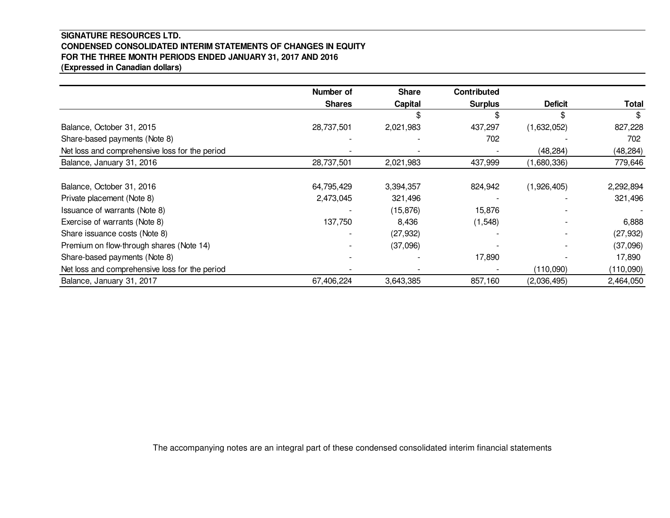### **SIGNATURE RESOURCES LTD. CONDENSED CONSOLIDATED INTERIM STATEMENTS OF CHANGES IN EQUITYFOR THE THREE MONTH PERIODS ENDED JANUARY 31, 2017 AND 2016(Expressed in Canadian dollars)**

|                                                | Number of     | <b>Share</b> | <b>Contributed</b> |                |              |
|------------------------------------------------|---------------|--------------|--------------------|----------------|--------------|
|                                                | <b>Shares</b> | Capital      | <b>Surplus</b>     | <b>Deficit</b> | <b>Total</b> |
|                                                |               |              |                    |                |              |
| Balance, October 31, 2015                      | 28,737,501    | 2,021,983    | 437,297            | (1,632,052)    | 827,228      |
| Share-based payments (Note 8)                  |               |              | 702                |                | 702          |
| Net loss and comprehensive loss for the period |               |              |                    | (48, 284)      | (48, 284)    |
| Balance, January 31, 2016                      | 28,737,501    | 2,021,983    | 437,999            | (1,680,336)    | 779,646      |
|                                                |               |              |                    |                |              |
| Balance, October 31, 2016                      | 64,795,429    | 3,394,357    | 824,942            | (1,926,405)    | 2,292,894    |
| Private placement (Note 8)                     | 2,473,045     | 321,496      |                    |                | 321,496      |
| Issuance of warrants (Note 8)                  |               | (15, 876)    | 15,876             |                |              |
| Exercise of warrants (Note 8)                  | 137,750       | 8,436        | (1, 548)           |                | 6,888        |
| Share issuance costs (Note 8)                  |               | (27, 932)    |                    |                | (27, 932)    |
| Premium on flow-through shares (Note 14)       |               | (37,096)     |                    |                | (37,096)     |
| Share-based payments (Note 8)                  |               |              | 17,890             |                | 17,890       |
| Net loss and comprehensive loss for the period |               |              |                    | (110,090)      | (110,090)    |
| Balance, January 31, 2017                      | 67,406,224    | 3,643,385    | 857,160            | (2,036,495)    | 2,464,050    |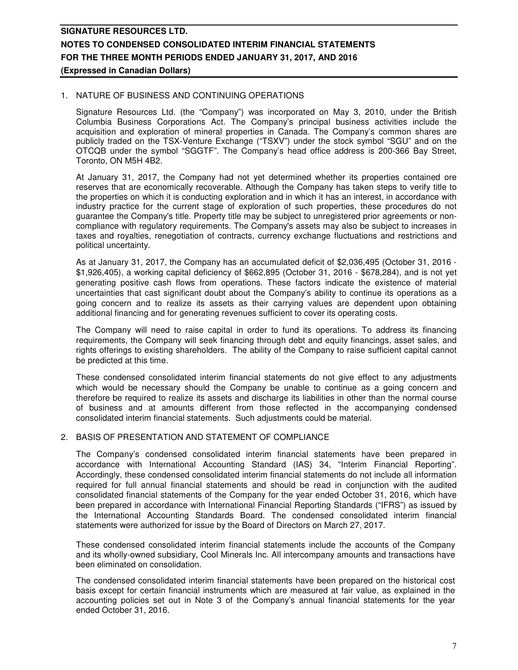### 1. NATURE OF BUSINESS AND CONTINUING OPERATIONS

Signature Resources Ltd. (the "Company") was incorporated on May 3, 2010, under the British Columbia Business Corporations Act. The Company's principal business activities include the acquisition and exploration of mineral properties in Canada. The Company's common shares are publicly traded on the TSX-Venture Exchange ("TSXV") under the stock symbol "SGU" and on the OTCQB under the symbol "SGGTF". The Company's head office address is 200-366 Bay Street, Toronto, ON M5H 4B2.

At January 31, 2017, the Company had not yet determined whether its properties contained ore reserves that are economically recoverable. Although the Company has taken steps to verify title to the properties on which it is conducting exploration and in which it has an interest, in accordance with industry practice for the current stage of exploration of such properties, these procedures do not guarantee the Company's title. Property title may be subject to unregistered prior agreements or noncompliance with regulatory requirements. The Company's assets may also be subject to increases in taxes and royalties, renegotiation of contracts, currency exchange fluctuations and restrictions and political uncertainty.

As at January 31, 2017, the Company has an accumulated deficit of \$2,036,495 (October 31, 2016 - \$1,926,405), a working capital deficiency of \$662,895 (October 31, 2016 - \$678,284), and is not yet generating positive cash flows from operations. These factors indicate the existence of material uncertainties that cast significant doubt about the Company's ability to continue its operations as a going concern and to realize its assets as their carrying values are dependent upon obtaining additional financing and for generating revenues sufficient to cover its operating costs.

The Company will need to raise capital in order to fund its operations. To address its financing requirements, the Company will seek financing through debt and equity financings, asset sales, and rights offerings to existing shareholders. The ability of the Company to raise sufficient capital cannot be predicted at this time.

These condensed consolidated interim financial statements do not give effect to any adjustments which would be necessary should the Company be unable to continue as a going concern and therefore be required to realize its assets and discharge its liabilities in other than the normal course of business and at amounts different from those reflected in the accompanying condensed consolidated interim financial statements. Such adjustments could be material.

### 2. BASIS OF PRESENTATION AND STATEMENT OF COMPLIANCE

The Company's condensed consolidated interim financial statements have been prepared in accordance with International Accounting Standard (IAS) 34, "Interim Financial Reporting". Accordingly, these condensed consolidated interim financial statements do not include all information required for full annual financial statements and should be read in conjunction with the audited consolidated financial statements of the Company for the year ended October 31, 2016, which have been prepared in accordance with International Financial Reporting Standards ("IFRS") as issued by the International Accounting Standards Board. The condensed consolidated interim financial statements were authorized for issue by the Board of Directors on March 27, 2017.

These condensed consolidated interim financial statements include the accounts of the Company and its wholly-owned subsidiary, Cool Minerals Inc. All intercompany amounts and transactions have been eliminated on consolidation.

The condensed consolidated interim financial statements have been prepared on the historical cost basis except for certain financial instruments which are measured at fair value, as explained in the accounting policies set out in Note 3 of the Company's annual financial statements for the year ended October 31, 2016.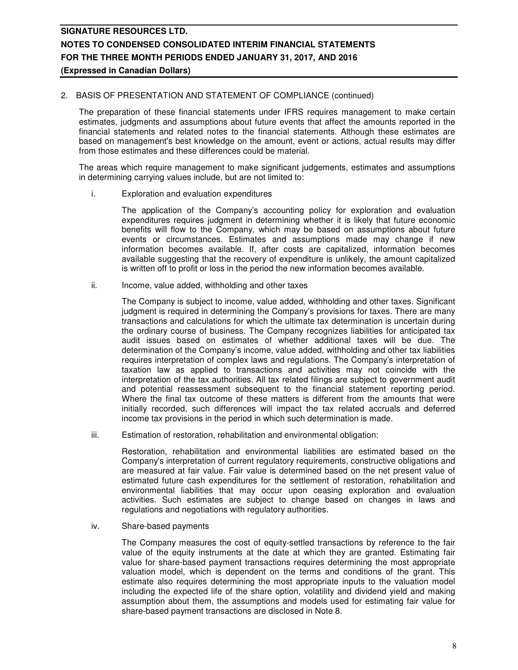### 2. BASIS OF PRESENTATION AND STATEMENT OF COMPLIANCE (continued)

The preparation of these financial statements under IFRS requires management to make certain estimates, judgments and assumptions about future events that affect the amounts reported in the financial statements and related notes to the financial statements. Although these estimates are based on management's best knowledge on the amount, event or actions, actual results may differ from those estimates and these differences could be material.

The areas which require management to make significant judgements, estimates and assumptions in determining carrying values include, but are not limited to:

i. Exploration and evaluation expenditures

The application of the Company's accounting policy for exploration and evaluation expenditures requires judgment in determining whether it is likely that future economic benefits will flow to the Company, which may be based on assumptions about future events or circumstances. Estimates and assumptions made may change if new information becomes available. If, after costs are capitalized, information becomes available suggesting that the recovery of expenditure is unlikely, the amount capitalized is written off to profit or loss in the period the new information becomes available.

ii. Income, value added, withholding and other taxes

The Company is subject to income, value added, withholding and other taxes. Significant judgment is required in determining the Company's provisions for taxes. There are many transactions and calculations for which the ultimate tax determination is uncertain during the ordinary course of business. The Company recognizes liabilities for anticipated tax audit issues based on estimates of whether additional taxes will be due. The determination of the Company's income, value added, withholding and other tax liabilities requires interpretation of complex laws and regulations. The Company's interpretation of taxation law as applied to transactions and activities may not coincide with the interpretation of the tax authorities. All tax related filings are subject to government audit and potential reassessment subsequent to the financial statement reporting period. Where the final tax outcome of these matters is different from the amounts that were initially recorded, such differences will impact the tax related accruals and deferred income tax provisions in the period in which such determination is made.

iii. Estimation of restoration, rehabilitation and environmental obligation:

 Restoration, rehabilitation and environmental liabilities are estimated based on the Company's interpretation of current regulatory requirements, constructive obligations and are measured at fair value. Fair value is determined based on the net present value of estimated future cash expenditures for the settlement of restoration, rehabilitation and environmental liabilities that may occur upon ceasing exploration and evaluation activities. Such estimates are subject to change based on changes in laws and regulations and negotiations with regulatory authorities.

iv. Share-based payments

 The Company measures the cost of equity-settled transactions by reference to the fair value of the equity instruments at the date at which they are granted. Estimating fair value for share-based payment transactions requires determining the most appropriate valuation model, which is dependent on the terms and conditions of the grant. This estimate also requires determining the most appropriate inputs to the valuation model including the expected life of the share option, volatility and dividend yield and making assumption about them, the assumptions and models used for estimating fair value for share-based payment transactions are disclosed in Note 8.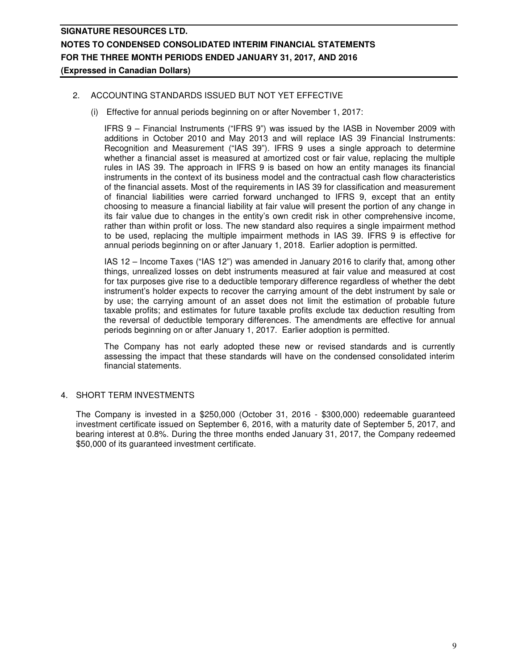### 2. ACCOUNTING STANDARDS ISSUED BUT NOT YET EFFECTIVE

(i) Effective for annual periods beginning on or after November 1, 2017:

IFRS 9 – Financial Instruments ("IFRS 9") was issued by the IASB in November 2009 with additions in October 2010 and May 2013 and will replace IAS 39 Financial Instruments: Recognition and Measurement ("IAS 39"). IFRS 9 uses a single approach to determine whether a financial asset is measured at amortized cost or fair value, replacing the multiple rules in IAS 39. The approach in IFRS 9 is based on how an entity manages its financial instruments in the context of its business model and the contractual cash flow characteristics of the financial assets. Most of the requirements in IAS 39 for classification and measurement of financial liabilities were carried forward unchanged to IFRS 9, except that an entity choosing to measure a financial liability at fair value will present the portion of any change in its fair value due to changes in the entity's own credit risk in other comprehensive income, rather than within profit or loss. The new standard also requires a single impairment method to be used, replacing the multiple impairment methods in IAS 39. IFRS 9 is effective for annual periods beginning on or after January 1, 2018. Earlier adoption is permitted.

IAS 12 – Income Taxes ("IAS 12") was amended in January 2016 to clarify that, among other things, unrealized losses on debt instruments measured at fair value and measured at cost for tax purposes give rise to a deductible temporary difference regardless of whether the debt instrument's holder expects to recover the carrying amount of the debt instrument by sale or by use; the carrying amount of an asset does not limit the estimation of probable future taxable profits; and estimates for future taxable profits exclude tax deduction resulting from the reversal of deductible temporary differences. The amendments are effective for annual periods beginning on or after January 1, 2017. Earlier adoption is permitted.

The Company has not early adopted these new or revised standards and is currently assessing the impact that these standards will have on the condensed consolidated interim financial statements.

### 4. SHORT TERM INVESTMENTS

The Company is invested in a \$250,000 (October 31, 2016 - \$300,000) redeemable guaranteed investment certificate issued on September 6, 2016, with a maturity date of September 5, 2017, and bearing interest at 0.8%. During the three months ended January 31, 2017, the Company redeemed \$50,000 of its guaranteed investment certificate.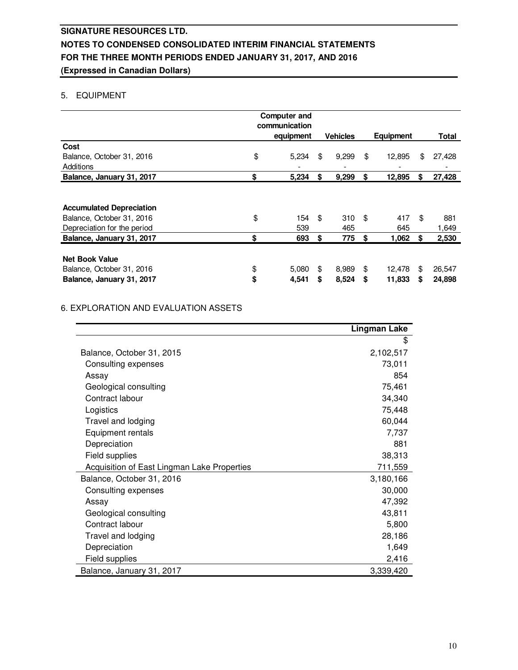### 5. EQUIPMENT

|                                 | <b>Computer and</b> |                 |    |                  |     |        |
|---------------------------------|---------------------|-----------------|----|------------------|-----|--------|
|                                 | communication       |                 |    |                  |     |        |
|                                 | equipment           | <b>Vehicles</b> |    | <b>Equipment</b> |     | Total  |
| Cost                            |                     |                 |    |                  |     |        |
| Balance, October 31, 2016       | \$<br>5,234         | \$<br>9,299     | \$ | 12,895           | \$  | 27,428 |
| Additions                       |                     |                 |    |                  |     |        |
| Balance, January 31, 2017       | \$<br>5,234         | \$<br>9,299     | \$ | 12,895           | \$  | 27,428 |
|                                 |                     |                 |    |                  |     |        |
| <b>Accumulated Depreciation</b> |                     |                 |    |                  |     |        |
| Balance, October 31, 2016       | \$<br>154           | \$<br>310       | \$ | 417              | \$  | 881    |
| Depreciation for the period     | 539                 | 465             |    | 645              |     | 1,649  |
| Balance, January 31, 2017       | \$<br>693           | \$<br>775       | \$ | 1,062            | S   | 2,530  |
|                                 |                     |                 |    |                  |     |        |
| <b>Net Book Value</b>           |                     |                 |    |                  |     |        |
| Balance, October 31, 2016       | \$<br>5,080         | \$<br>8,989     | \$ | 12,478           | \$. | 26,547 |
| Balance, January 31, 2017       | \$<br>4,541         | \$<br>8,524     | S  | 11,833           | S   | 24,898 |

### 6. EXPLORATION AND EVALUATION ASSETS

|                                             | <b>Lingman Lake</b> |
|---------------------------------------------|---------------------|
|                                             | \$                  |
| Balance, October 31, 2015                   | 2,102,517           |
| Consulting expenses                         | 73,011              |
| Assay                                       | 854                 |
| Geological consulting                       | 75,461              |
| Contract labour                             | 34,340              |
| Logistics                                   | 75,448              |
| Travel and lodging                          | 60,044              |
| Equipment rentals                           | 7,737               |
| Depreciation                                | 881                 |
| Field supplies                              | 38,313              |
| Acquisition of East Lingman Lake Properties | 711,559             |
| Balance, October 31, 2016                   | 3,180,166           |
| Consulting expenses                         | 30,000              |
| Assay                                       | 47,392              |
| Geological consulting                       | 43,811              |
| Contract labour                             | 5,800               |
| Travel and lodging                          | 28,186              |
| Depreciation                                | 1,649               |
| Field supplies                              | 2,416               |
| Balance, January 31, 2017                   | 3,339,420           |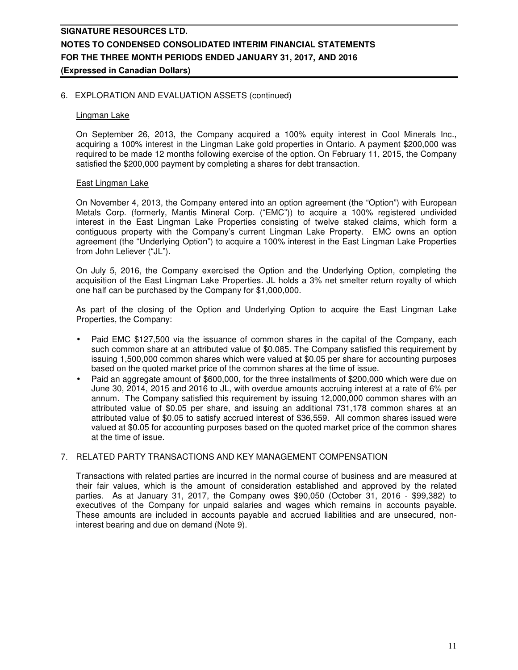### 6. EXPLORATION AND EVALUATION ASSETS (continued)

#### Lingman Lake

On September 26, 2013, the Company acquired a 100% equity interest in Cool Minerals Inc., acquiring a 100% interest in the Lingman Lake gold properties in Ontario. A payment \$200,000 was required to be made 12 months following exercise of the option. On February 11, 2015, the Company satisfied the \$200,000 payment by completing a shares for debt transaction.

### East Lingman Lake

On November 4, 2013, the Company entered into an option agreement (the "Option") with European Metals Corp. (formerly, Mantis Mineral Corp. ("EMC")) to acquire a 100% registered undivided interest in the East Lingman Lake Properties consisting of twelve staked claims, which form a contiguous property with the Company's current Lingman Lake Property. EMC owns an option agreement (the "Underlying Option") to acquire a 100% interest in the East Lingman Lake Properties from John Leliever ("JL").

On July 5, 2016, the Company exercised the Option and the Underlying Option, completing the acquisition of the East Lingman Lake Properties. JL holds a 3% net smelter return royalty of which one half can be purchased by the Company for \$1,000,000.

As part of the closing of the Option and Underlying Option to acquire the East Lingman Lake Properties, the Company:

- Paid EMC \$127,500 via the issuance of common shares in the capital of the Company, each such common share at an attributed value of \$0.085. The Company satisfied this requirement by issuing 1,500,000 common shares which were valued at \$0.05 per share for accounting purposes based on the quoted market price of the common shares at the time of issue.
- Paid an aggregate amount of \$600,000, for the three installments of \$200,000 which were due on June 30, 2014, 2015 and 2016 to JL, with overdue amounts accruing interest at a rate of 6% per annum. The Company satisfied this requirement by issuing 12,000,000 common shares with an attributed value of \$0.05 per share, and issuing an additional 731,178 common shares at an attributed value of \$0.05 to satisfy accrued interest of \$36,559. All common shares issued were valued at \$0.05 for accounting purposes based on the quoted market price of the common shares at the time of issue.

### 7. RELATED PARTY TRANSACTIONS AND KEY MANAGEMENT COMPENSATION

Transactions with related parties are incurred in the normal course of business and are measured at their fair values, which is the amount of consideration established and approved by the related parties. As at January 31, 2017, the Company owes \$90,050 (October 31, 2016 - \$99,382) to executives of the Company for unpaid salaries and wages which remains in accounts payable. These amounts are included in accounts payable and accrued liabilities and are unsecured, noninterest bearing and due on demand (Note 9).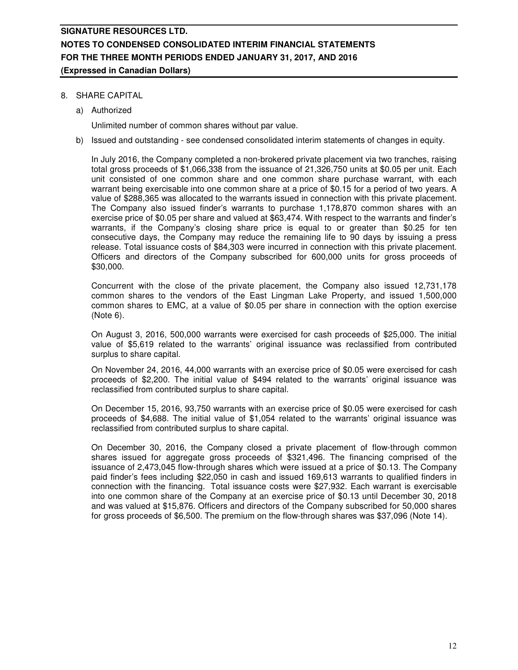### 8. SHARE CAPITAL

a) Authorized

Unlimited number of common shares without par value.

b) Issued and outstanding - see condensed consolidated interim statements of changes in equity.

In July 2016, the Company completed a non-brokered private placement via two tranches, raising total gross proceeds of \$1,066,338 from the issuance of 21,326,750 units at \$0.05 per unit. Each unit consisted of one common share and one common share purchase warrant, with each warrant being exercisable into one common share at a price of \$0.15 for a period of two years. A value of \$288,365 was allocated to the warrants issued in connection with this private placement. The Company also issued finder's warrants to purchase 1,178,870 common shares with an exercise price of \$0.05 per share and valued at \$63,474. With respect to the warrants and finder's warrants, if the Company's closing share price is equal to or greater than \$0.25 for ten consecutive days, the Company may reduce the remaining life to 90 days by issuing a press release. Total issuance costs of \$84,303 were incurred in connection with this private placement. Officers and directors of the Company subscribed for 600,000 units for gross proceeds of \$30,000.

Concurrent with the close of the private placement, the Company also issued 12,731,178 common shares to the vendors of the East Lingman Lake Property, and issued 1,500,000 common shares to EMC, at a value of \$0.05 per share in connection with the option exercise (Note 6).

On August 3, 2016, 500,000 warrants were exercised for cash proceeds of \$25,000. The initial value of \$5,619 related to the warrants' original issuance was reclassified from contributed surplus to share capital.

On November 24, 2016, 44,000 warrants with an exercise price of \$0.05 were exercised for cash proceeds of \$2,200. The initial value of \$494 related to the warrants' original issuance was reclassified from contributed surplus to share capital.

On December 15, 2016, 93,750 warrants with an exercise price of \$0.05 were exercised for cash proceeds of \$4,688. The initial value of \$1,054 related to the warrants' original issuance was reclassified from contributed surplus to share capital.

On December 30, 2016, the Company closed a private placement of flow-through common shares issued for aggregate gross proceeds of \$321,496. The financing comprised of the issuance of 2,473,045 flow-through shares which were issued at a price of \$0.13. The Company paid finder's fees including \$22,050 in cash and issued 169,613 warrants to qualified finders in connection with the financing. Total issuance costs were \$27,932. Each warrant is exercisable into one common share of the Company at an exercise price of \$0.13 until December 30, 2018 and was valued at \$15,876. Officers and directors of the Company subscribed for 50,000 shares for gross proceeds of \$6,500. The premium on the flow-through shares was \$37,096 (Note 14).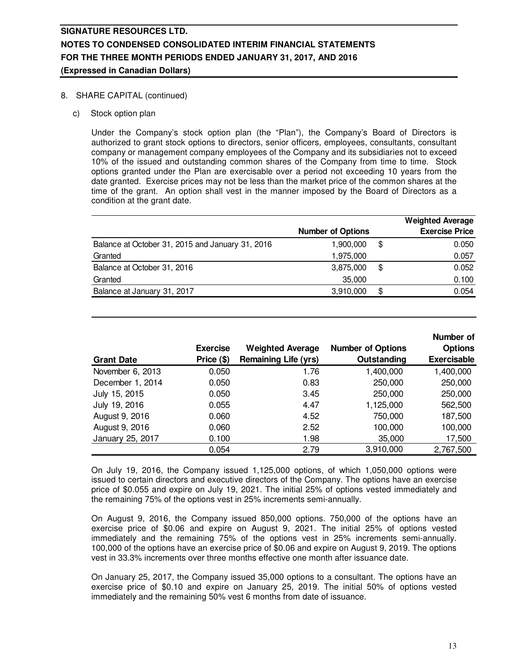### 8. SHARE CAPITAL (continued)

c) Stock option plan

Under the Company's stock option plan (the "Plan"), the Company's Board of Directors is authorized to grant stock options to directors, senior officers, employees, consultants, consultant company or management company employees of the Company and its subsidiaries not to exceed 10% of the issued and outstanding common shares of the Company from time to time. Stock options granted under the Plan are exercisable over a period not exceeding 10 years from the date granted. Exercise prices may not be less than the market price of the common shares at the time of the grant. An option shall vest in the manner imposed by the Board of Directors as a condition at the grant date.

|                                                  |                          | <b>Weighted Average</b> |
|--------------------------------------------------|--------------------------|-------------------------|
|                                                  | <b>Number of Options</b> | <b>Exercise Price</b>   |
| Balance at October 31, 2015 and January 31, 2016 | 1,900,000                | \$<br>0.050             |
| Granted                                          | 1,975,000                | 0.057                   |
| Balance at October 31, 2016                      | 3,875,000                | \$<br>0.052             |
| Granted                                          | 35,000                   | 0.100                   |
| Balance at January 31, 2017                      | 3,910,000                | \$<br>0.054             |

| <b>Grant Date</b> | <b>Exercise</b><br>Price (\$) | <b>Weighted Average</b><br><b>Remaining Life (yrs)</b> | <b>Number of Options</b><br>Outstanding | Number of<br><b>Options</b><br><b>Exercisable</b> |
|-------------------|-------------------------------|--------------------------------------------------------|-----------------------------------------|---------------------------------------------------|
|                   |                               |                                                        |                                         |                                                   |
| November 6, 2013  | 0.050                         | 1.76                                                   | 1,400,000                               | 1,400,000                                         |
| December 1, 2014  | 0.050                         | 0.83                                                   | 250,000                                 | 250,000                                           |
| July 15, 2015     | 0.050                         | 3.45                                                   | 250,000                                 | 250,000                                           |
| July 19, 2016     | 0.055                         | 4.47                                                   | 1,125,000                               | 562,500                                           |
| August 9, 2016    | 0.060                         | 4.52                                                   | 750,000                                 | 187,500                                           |
| August 9, 2016    | 0.060                         | 2.52                                                   | 100,000                                 | 100,000                                           |
| January 25, 2017  | 0.100                         | 1.98                                                   | 35,000                                  | 17,500                                            |
|                   | 0.054                         | 2.79                                                   | 3,910,000                               | 2,767,500                                         |

On July 19, 2016, the Company issued 1,125,000 options, of which 1,050,000 options were issued to certain directors and executive directors of the Company. The options have an exercise price of \$0.055 and expire on July 19, 2021. The initial 25% of options vested immediately and the remaining 75% of the options vest in 25% increments semi-annually.

On August 9, 2016, the Company issued 850,000 options. 750,000 of the options have an exercise price of \$0.06 and expire on August 9, 2021. The initial 25% of options vested immediately and the remaining 75% of the options vest in 25% increments semi-annually. 100,000 of the options have an exercise price of \$0.06 and expire on August 9, 2019. The options vest in 33.3% increments over three months effective one month after issuance date.

On January 25, 2017, the Company issued 35,000 options to a consultant. The options have an exercise price of \$0.10 and expire on January 25, 2019. The initial 50% of options vested immediately and the remaining 50% vest 6 months from date of issuance.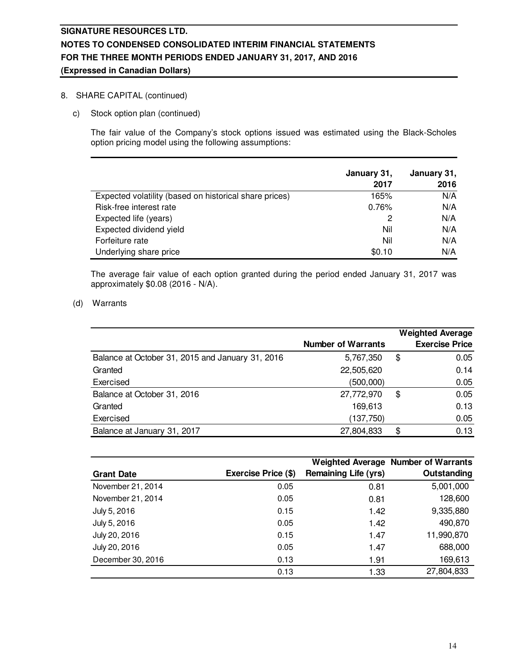### 8. SHARE CAPITAL (continued)

c) Stock option plan (continued)

The fair value of the Company's stock options issued was estimated using the Black-Scholes option pricing model using the following assumptions:

|                                                        | January 31, | January 31, |
|--------------------------------------------------------|-------------|-------------|
|                                                        | 2017        | 2016        |
| Expected volatility (based on historical share prices) | 165%        | N/A         |
| Risk-free interest rate                                | 0.76%       | N/A         |
| Expected life (years)                                  | 2           | N/A         |
| Expected dividend yield                                | Nil         | N/A         |
| Forfeiture rate                                        | Nil         | N/A         |
| Underlying share price                                 | \$0.10      | N/A         |

The average fair value of each option granted during the period ended January 31, 2017 was approximately \$0.08 (2016 - N/A).

### (d) Warrants

|                                                  | <b>Number of Warrants</b> | <b>Weighted Average</b><br><b>Exercise Price</b> |
|--------------------------------------------------|---------------------------|--------------------------------------------------|
| Balance at October 31, 2015 and January 31, 2016 | 5,767,350                 | \$<br>0.05                                       |
| Granted                                          | 22,505,620                | 0.14                                             |
| Exercised                                        | (500,000)                 | 0.05                                             |
| Balance at October 31, 2016                      | 27,772,970                | \$<br>0.05                                       |
| Granted                                          | 169,613                   | 0.13                                             |
| Exercised                                        | (137,750)                 | 0.05                                             |
| Balance at January 31, 2017                      | 27,804,833                | \$<br>0.13                                       |

|                   |                     |                             | Weighted Average Number of Warrants |
|-------------------|---------------------|-----------------------------|-------------------------------------|
| <b>Grant Date</b> | Exercise Price (\$) | <b>Remaining Life (yrs)</b> | Outstanding                         |
| November 21, 2014 | 0.05                | 0.81                        | 5,001,000                           |
| November 21, 2014 | 0.05                | 0.81                        | 128,600                             |
| July 5, 2016      | 0.15                | 1.42                        | 9,335,880                           |
| July 5, 2016      | 0.05                | 1.42                        | 490,870                             |
| July 20, 2016     | 0.15                | 1.47                        | 11,990,870                          |
| July 20, 2016     | 0.05                | 1.47                        | 688,000                             |
| December 30, 2016 | 0.13                | 1.91                        | 169,613                             |
|                   | 0.13                | 1.33                        | 27,804,833                          |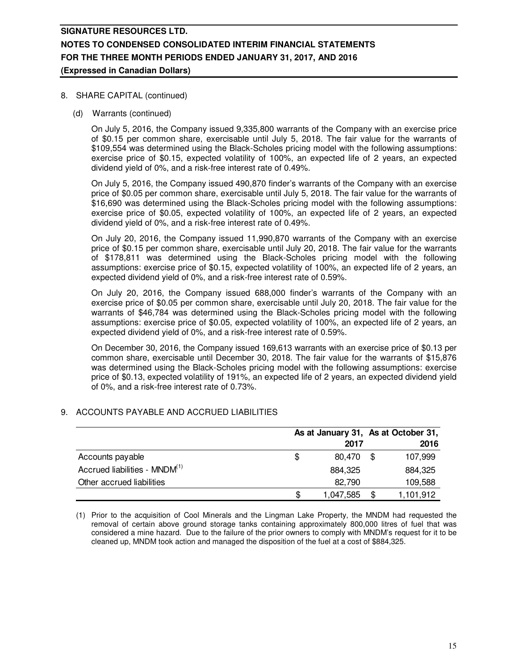### 8. SHARE CAPITAL (continued)

(d) Warrants (continued)

On July 5, 2016, the Company issued 9,335,800 warrants of the Company with an exercise price of \$0.15 per common share, exercisable until July 5, 2018. The fair value for the warrants of \$109,554 was determined using the Black-Scholes pricing model with the following assumptions: exercise price of \$0.15, expected volatility of 100%, an expected life of 2 years, an expected dividend yield of 0%, and a risk-free interest rate of 0.49%.

On July 5, 2016, the Company issued 490,870 finder's warrants of the Company with an exercise price of \$0.05 per common share, exercisable until July 5, 2018. The fair value for the warrants of \$16,690 was determined using the Black-Scholes pricing model with the following assumptions: exercise price of \$0.05, expected volatility of 100%, an expected life of 2 years, an expected dividend yield of 0%, and a risk-free interest rate of 0.49%.

On July 20, 2016, the Company issued 11,990,870 warrants of the Company with an exercise price of \$0.15 per common share, exercisable until July 20, 2018. The fair value for the warrants of \$178,811 was determined using the Black-Scholes pricing model with the following assumptions: exercise price of \$0.15, expected volatility of 100%, an expected life of 2 years, an expected dividend yield of 0%, and a risk-free interest rate of 0.59%.

On July 20, 2016, the Company issued 688,000 finder's warrants of the Company with an exercise price of \$0.05 per common share, exercisable until July 20, 2018. The fair value for the warrants of \$46,784 was determined using the Black-Scholes pricing model with the following assumptions: exercise price of \$0.05, expected volatility of 100%, an expected life of 2 years, an expected dividend yield of 0%, and a risk-free interest rate of 0.59%.

On December 30, 2016, the Company issued 169,613 warrants with an exercise price of \$0.13 per common share, exercisable until December 30, 2018. The fair value for the warrants of \$15,876 was determined using the Black-Scholes pricing model with the following assumptions: exercise price of \$0.13, expected volatility of 191%, an expected life of 2 years, an expected dividend yield of 0%, and a risk-free interest rate of 0.73%.

### 9. ACCOUNTS PAYABLE AND ACCRUED LIABILITIES

|                                           |   | As at January 31, As at October 31, |    |           |
|-------------------------------------------|---|-------------------------------------|----|-----------|
|                                           |   | 2017                                |    | 2016      |
| Accounts payable                          | S | 80.470                              | -S | 107,999   |
| Accrued liabilities - MNDM <sup>(1)</sup> |   | 884.325                             |    | 884.325   |
| Other accrued liabilities                 |   | 82.790                              |    | 109,588   |
|                                           | S | 1,047,585                           |    | 1,101,912 |

(1) Prior to the acquisition of Cool Minerals and the Lingman Lake Property, the MNDM had requested the removal of certain above ground storage tanks containing approximately 800,000 litres of fuel that was considered a mine hazard. Due to the failure of the prior owners to comply with MNDM's request for it to be cleaned up, MNDM took action and managed the disposition of the fuel at a cost of \$884,325.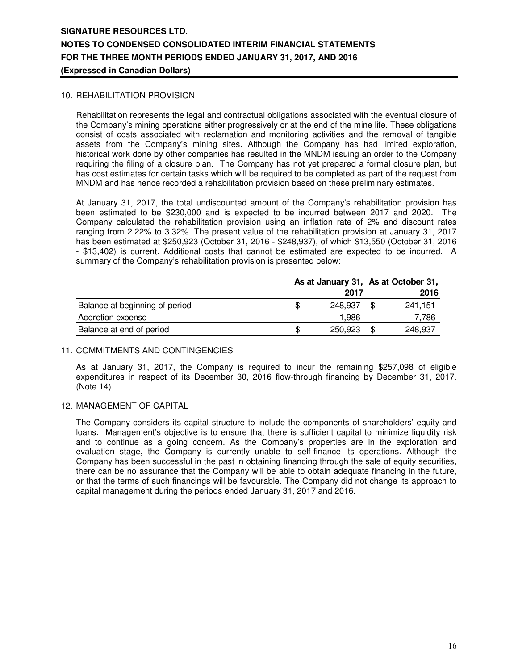### 10. REHABILITATION PROVISION

Rehabilitation represents the legal and contractual obligations associated with the eventual closure of the Company's mining operations either progressively or at the end of the mine life. These obligations consist of costs associated with reclamation and monitoring activities and the removal of tangible assets from the Company's mining sites. Although the Company has had limited exploration, historical work done by other companies has resulted in the MNDM issuing an order to the Company requiring the filing of a closure plan. The Company has not yet prepared a formal closure plan, but has cost estimates for certain tasks which will be required to be completed as part of the request from MNDM and has hence recorded a rehabilitation provision based on these preliminary estimates.

At January 31, 2017, the total undiscounted amount of the Company's rehabilitation provision has been estimated to be \$230,000 and is expected to be incurred between 2017 and 2020. The Company calculated the rehabilitation provision using an inflation rate of 2% and discount rates ranging from 2.22% to 3.32%. The present value of the rehabilitation provision at January 31, 2017 has been estimated at \$250,923 (October 31, 2016 - \$248,937), of which \$13,550 (October 31, 2016 - \$13,402) is current. Additional costs that cannot be estimated are expected to be incurred. A summary of the Company's rehabilitation provision is presented below:

|                                |         |  | As at January 31, As at October 31, |  |
|--------------------------------|---------|--|-------------------------------------|--|
|                                | 2017    |  | 2016                                |  |
| Balance at beginning of period | 248.937 |  | 241.151                             |  |
| Accretion expense              | 1.986   |  | 7,786                               |  |
| Balance at end of period       | 250.923 |  | 248,937                             |  |

### 11. COMMITMENTS AND CONTINGENCIES

As at January 31, 2017, the Company is required to incur the remaining \$257,098 of eligible expenditures in respect of its December 30, 2016 flow-through financing by December 31, 2017. (Note 14).

### 12. MANAGEMENT OF CAPITAL

The Company considers its capital structure to include the components of shareholders' equity and loans. Management's objective is to ensure that there is sufficient capital to minimize liquidity risk and to continue as a going concern. As the Company's properties are in the exploration and evaluation stage, the Company is currently unable to self-finance its operations. Although the Company has been successful in the past in obtaining financing through the sale of equity securities, there can be no assurance that the Company will be able to obtain adequate financing in the future, or that the terms of such financings will be favourable. The Company did not change its approach to capital management during the periods ended January 31, 2017 and 2016.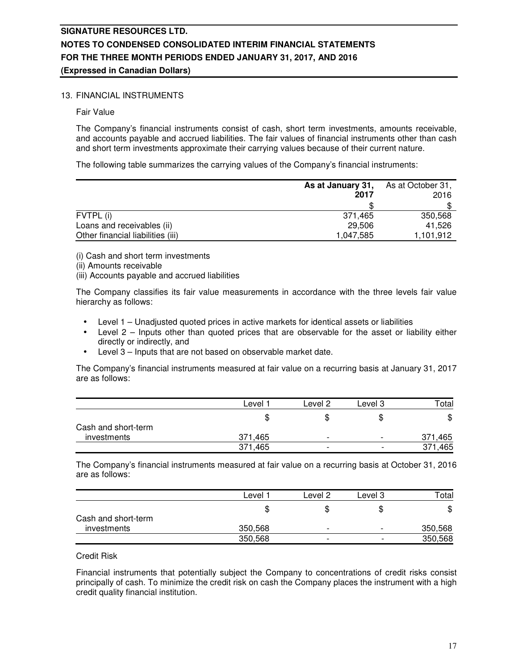### 13. FINANCIAL INSTRUMENTS

Fair Value

The Company's financial instruments consist of cash, short term investments, amounts receivable, and accounts payable and accrued liabilities. The fair values of financial instruments other than cash and short term investments approximate their carrying values because of their current nature.

The following table summarizes the carrying values of the Company's financial instruments:

|                                   | As at January 31,<br>2017 | As at October 31,<br>2016 |  |
|-----------------------------------|---------------------------|---------------------------|--|
|                                   |                           |                           |  |
| FVTPL (i)                         | 371.465                   | 350.568                   |  |
| Loans and receivables (ii)        | 29,506                    | 41.526                    |  |
| Other financial liabilities (iii) | 1,047,585                 | 1,101,912                 |  |

(i) Cash and short term investments

- (ii) Amounts receivable
- (iii) Accounts payable and accrued liabilities

The Company classifies its fair value measurements in accordance with the three levels fair value hierarchy as follows:

- Level 1 Unadjusted quoted prices in active markets for identical assets or liabilities
- Level  $2$  Inputs other than quoted prices that are observable for the asset or liability either directly or indirectly, and
- Level 3 Inputs that are not based on observable market date.

The Company's financial instruments measured at fair value on a recurring basis at January 31, 2017 are as follows:

|                     | Level   | Level 2                  | Level 3                  | Total   |
|---------------------|---------|--------------------------|--------------------------|---------|
|                     | Œ       | Œ                        | \$                       | \$      |
| Cash and short-term |         |                          |                          |         |
| investments         | 371.465 | $\overline{\phantom{0}}$ | $\overline{\phantom{0}}$ | 371,465 |
|                     | 371,465 | $\overline{\phantom{0}}$ | $\overline{\phantom{0}}$ | 371,465 |

The Company's financial instruments measured at fair value on a recurring basis at October 31, 2016 are as follows:

|                     | Level   | Level 2                  | Level 3                  | Total   |
|---------------------|---------|--------------------------|--------------------------|---------|
|                     |         |                          | \$                       | \$      |
| Cash and short-term |         |                          |                          |         |
| <i>investments</i>  | 350,568 | -                        | $\overline{\phantom{0}}$ | 350,568 |
|                     | 350,568 | $\overline{\phantom{0}}$ | -                        | 350,568 |

### Credit Risk

Financial instruments that potentially subject the Company to concentrations of credit risks consist principally of cash. To minimize the credit risk on cash the Company places the instrument with a high credit quality financial institution.